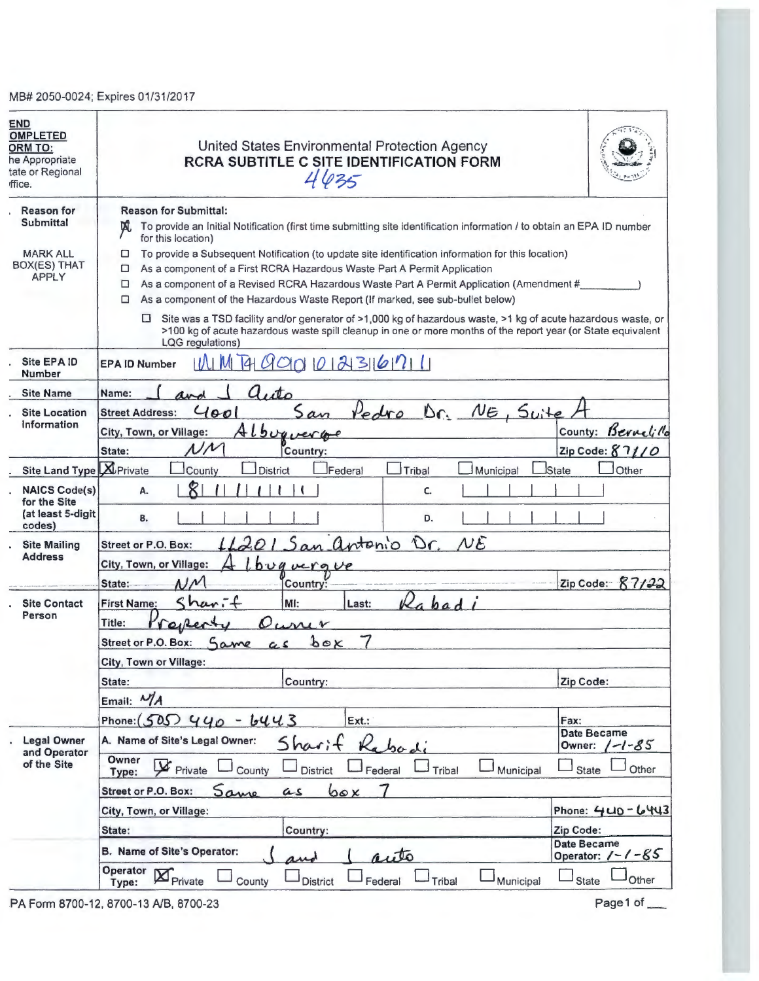MB# 2050-0024; Expires 01/31/2017

| <b>END</b><br><b>OMPLETED</b><br><b>ORM TO:</b><br>he Appropriate<br>tate or Regional<br>ffice. | United States Environmental Protection Agency<br><b>RCRA SUBTITLE C SITE IDENTIFICATION FORM</b><br>4635                                                                                                                                                                                                                                                                                                                                                                                                                                                                                                                                                                                                                                                                                                                         |                                       |  |  |  |
|-------------------------------------------------------------------------------------------------|----------------------------------------------------------------------------------------------------------------------------------------------------------------------------------------------------------------------------------------------------------------------------------------------------------------------------------------------------------------------------------------------------------------------------------------------------------------------------------------------------------------------------------------------------------------------------------------------------------------------------------------------------------------------------------------------------------------------------------------------------------------------------------------------------------------------------------|---------------------------------------|--|--|--|
| <b>Reason for</b><br><b>Submittal</b><br><b>MARK ALL</b><br><b>BOX(ES) THAT</b><br><b>APPLY</b> | <b>Reason for Submittal:</b><br>DĴ.<br>To provide an Initial Notification (first time submitting site identification information / to obtain an EPA ID number<br>for this location)<br>To provide a Subsequent Notification (to update site identification information for this location)<br>□<br>As a component of a First RCRA Hazardous Waste Part A Permit Application<br>◻<br>As a component of a Revised RCRA Hazardous Waste Part A Permit Application (Amendment #<br>□<br>As a component of the Hazardous Waste Report (If marked, see sub-bullet below)<br>□<br>Site was a TSD facility and/or generator of >1,000 kg of hazardous waste, >1 kg of acute hazardous waste, or<br>O.<br>>100 kg of acute hazardous waste spill cleanup in one or more months of the report year (or State equivalent<br>LQG regulations) |                                       |  |  |  |
| Site EPA ID<br>Number                                                                           | 4000033671<br><b>EPA ID Number</b>                                                                                                                                                                                                                                                                                                                                                                                                                                                                                                                                                                                                                                                                                                                                                                                               |                                       |  |  |  |
| <b>Site Name</b>                                                                                | $a$ , ito<br>Name:                                                                                                                                                                                                                                                                                                                                                                                                                                                                                                                                                                                                                                                                                                                                                                                                               |                                       |  |  |  |
| <b>Site Location</b>                                                                            | $D_{C}$<br>NE, Suite<br>Pedro<br>San<br>400<br><b>Street Address:</b>                                                                                                                                                                                                                                                                                                                                                                                                                                                                                                                                                                                                                                                                                                                                                            |                                       |  |  |  |
| Information                                                                                     | Albuquerge<br>City, Town, or Village:                                                                                                                                                                                                                                                                                                                                                                                                                                                                                                                                                                                                                                                                                                                                                                                            | County: Bernelillo                    |  |  |  |
|                                                                                                 | N N<br>Country:<br>State:                                                                                                                                                                                                                                                                                                                                                                                                                                                                                                                                                                                                                                                                                                                                                                                                        | Zip Code: 87110                       |  |  |  |
| Site Land Type <b>X</b> Private                                                                 | Tribal<br>County<br><b>District</b><br>Federal<br>Municipal                                                                                                                                                                                                                                                                                                                                                                                                                                                                                                                                                                                                                                                                                                                                                                      | Other<br><b>State</b>                 |  |  |  |
| <b>NAICS Code(s)</b><br>for the Site                                                            | А.<br>C.                                                                                                                                                                                                                                                                                                                                                                                                                                                                                                                                                                                                                                                                                                                                                                                                                         |                                       |  |  |  |
| (at least 5-digit<br>codes)                                                                     | В.<br>D.                                                                                                                                                                                                                                                                                                                                                                                                                                                                                                                                                                                                                                                                                                                                                                                                                         |                                       |  |  |  |
| <b>Site Mailing</b>                                                                             | antonio Dr.<br>NE<br>Street or P.O. Box:                                                                                                                                                                                                                                                                                                                                                                                                                                                                                                                                                                                                                                                                                                                                                                                         |                                       |  |  |  |
| <b>Address</b>                                                                                  | City, Town, or Village:<br>buguergue                                                                                                                                                                                                                                                                                                                                                                                                                                                                                                                                                                                                                                                                                                                                                                                             |                                       |  |  |  |
|                                                                                                 | $\Lambda/N$<br>Country:<br>State:                                                                                                                                                                                                                                                                                                                                                                                                                                                                                                                                                                                                                                                                                                                                                                                                | Zip Code: $87/22$                     |  |  |  |
| <b>Site Contact</b><br>Person                                                                   | bad<br>shar.f<br><b>First Name:</b><br>MI:<br>Last:                                                                                                                                                                                                                                                                                                                                                                                                                                                                                                                                                                                                                                                                                                                                                                              |                                       |  |  |  |
|                                                                                                 | Title:<br>uvu<br>$YQ_1k$                                                                                                                                                                                                                                                                                                                                                                                                                                                                                                                                                                                                                                                                                                                                                                                                         |                                       |  |  |  |
|                                                                                                 | $b \circ x$<br>Street or P.O. Box:<br>Same                                                                                                                                                                                                                                                                                                                                                                                                                                                                                                                                                                                                                                                                                                                                                                                       |                                       |  |  |  |
|                                                                                                 | City, Town or Village:                                                                                                                                                                                                                                                                                                                                                                                                                                                                                                                                                                                                                                                                                                                                                                                                           |                                       |  |  |  |
|                                                                                                 | State:<br>Country:                                                                                                                                                                                                                                                                                                                                                                                                                                                                                                                                                                                                                                                                                                                                                                                                               | Zip Code:                             |  |  |  |
|                                                                                                 | Email: $M/A$                                                                                                                                                                                                                                                                                                                                                                                                                                                                                                                                                                                                                                                                                                                                                                                                                     |                                       |  |  |  |
|                                                                                                 | Phone: (505) $440 - 6443$<br>Ext.:                                                                                                                                                                                                                                                                                                                                                                                                                                                                                                                                                                                                                                                                                                                                                                                               | Fax:                                  |  |  |  |
| <b>Legal Owner</b><br>and Operator<br>of the Site                                               | A. Name of Site's Legal Owner:<br>Sharit Ra<br>bod                                                                                                                                                                                                                                                                                                                                                                                                                                                                                                                                                                                                                                                                                                                                                                               | <b>Date Became</b><br>Owner: $/-/-85$ |  |  |  |
|                                                                                                 | Owner<br>$\mathbf{V}$ Private<br>Federal<br><b>District</b><br>County<br>Tribal<br>Municipal<br>Type:                                                                                                                                                                                                                                                                                                                                                                                                                                                                                                                                                                                                                                                                                                                            | Other<br><b>State</b>                 |  |  |  |
|                                                                                                 | 60x<br>Same<br>Street or P.O. Box:<br>20                                                                                                                                                                                                                                                                                                                                                                                                                                                                                                                                                                                                                                                                                                                                                                                         |                                       |  |  |  |
|                                                                                                 | City, Town, or Village:                                                                                                                                                                                                                                                                                                                                                                                                                                                                                                                                                                                                                                                                                                                                                                                                          | Phone: $440 - 6443$                   |  |  |  |
|                                                                                                 | State:<br>Country:                                                                                                                                                                                                                                                                                                                                                                                                                                                                                                                                                                                                                                                                                                                                                                                                               | Zip Code:                             |  |  |  |
|                                                                                                 | B. Name of Site's Operator:<br>auto                                                                                                                                                                                                                                                                                                                                                                                                                                                                                                                                                                                                                                                                                                                                                                                              | Date Became<br>Operator: $1 - 1 - 85$ |  |  |  |
|                                                                                                 | Operator <b>X</b> Private<br>Federal<br>Tribal<br>Municipal<br>County<br><b>District</b>                                                                                                                                                                                                                                                                                                                                                                                                                                                                                                                                                                                                                                                                                                                                         | Other<br><b>State</b>                 |  |  |  |

PA Form 8700-12, 8700-13 A/B, 8700-23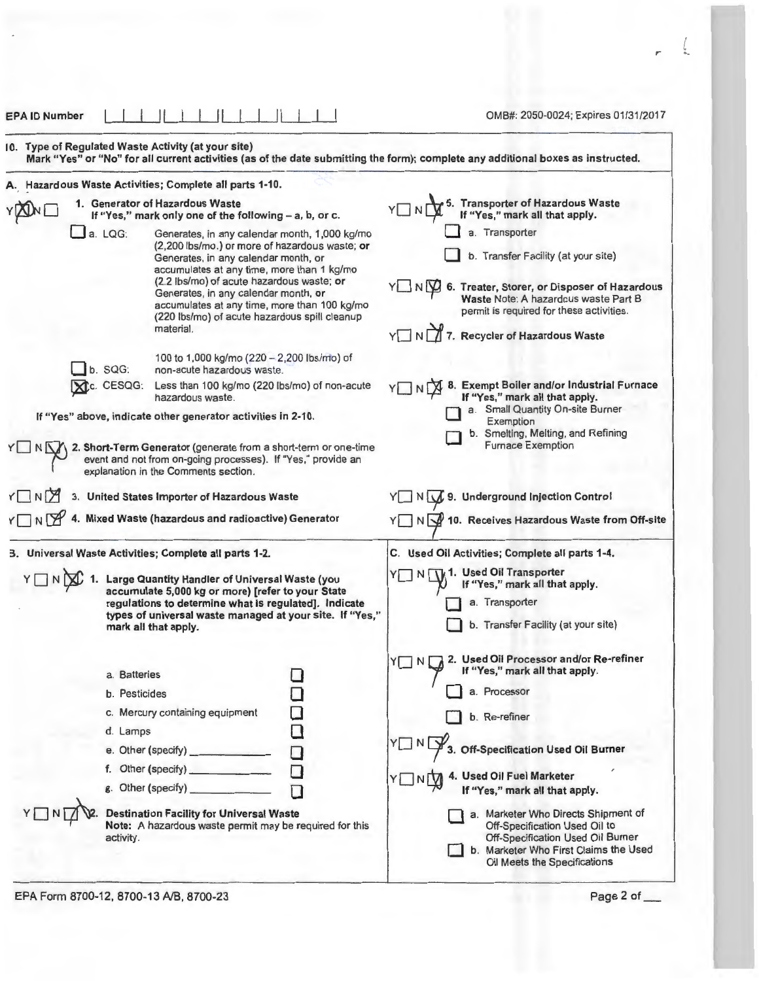| <b>EPA ID Number</b>                                                                                                                                                                                                                                      |                                      |                                                                                                                                                                                                                                                                                                                                                                             |                                                                                                                                                                                    | OMB#: 2050-0024; Expires 01/31/2017                                                                                                                                                                                                    |  |
|-----------------------------------------------------------------------------------------------------------------------------------------------------------------------------------------------------------------------------------------------------------|--------------------------------------|-----------------------------------------------------------------------------------------------------------------------------------------------------------------------------------------------------------------------------------------------------------------------------------------------------------------------------------------------------------------------------|------------------------------------------------------------------------------------------------------------------------------------------------------------------------------------|----------------------------------------------------------------------------------------------------------------------------------------------------------------------------------------------------------------------------------------|--|
| 10. Type of Regulated Waste Activity (at your site)                                                                                                                                                                                                       |                                      |                                                                                                                                                                                                                                                                                                                                                                             |                                                                                                                                                                                    | Mark "Yes" or "No" for all current activities (as of the date submitting the form); complete any additional boxes as instructed.                                                                                                       |  |
| A. Hazardous Waste Activities; Complete all parts 1-10.                                                                                                                                                                                                   |                                      |                                                                                                                                                                                                                                                                                                                                                                             |                                                                                                                                                                                    |                                                                                                                                                                                                                                        |  |
|                                                                                                                                                                                                                                                           | 1. Generator of Hazardous Waste      | If "Yes," mark only one of the following - a, b, or c.                                                                                                                                                                                                                                                                                                                      |                                                                                                                                                                                    | Y□ N□ 5. Transporter of Hazardous Waste<br>If "Yes," mark all that apply.                                                                                                                                                              |  |
| $\Box$ a. LQG:                                                                                                                                                                                                                                            | material.                            | Generates, in any calendar month, 1,000 kg/mo<br>(2,200 lbs/mo.) or more of hazardous waste; or<br>Generates, in any calendar month, or<br>accumulates at any time, more than 1 kg/mo<br>(2.2 lbs/mo) of acute hazardous waste; or<br>Generates, in any calendar month, or<br>accumulates at any time, more than 100 kg/mo<br>(220 lbs/mo) of acute hazardous spill cleanup |                                                                                                                                                                                    | a. Transporter<br>b. Transfer Facility (at your site)<br>Y NO 6. Treater, Storer, or Disposer of Hazardous<br>Waste Note: A hazardous waste Part B<br>permit is required for these activities.<br>Y N N 7. Recycler of Hazardous Waste |  |
|                                                                                                                                                                                                                                                           |                                      | 100 to 1,000 kg/mo (220 - 2,200 lbs/mo) of                                                                                                                                                                                                                                                                                                                                  |                                                                                                                                                                                    |                                                                                                                                                                                                                                        |  |
| b. SQG:<br>non-acute hazardous waste.<br>XC. CESQG: Less than 100 kg/mo (220 lbs/mo) of non-acute<br>hazardous waste.<br>If "Yes" above, indicate other generator activities in 2-10.                                                                     |                                      |                                                                                                                                                                                                                                                                                                                                                                             | Y N M & Exempt Boiler and/or Industrial Furnace<br>If "Yes," mark all that apply.<br>a. Small Quantity On-site Burner<br>Exemption                                                 |                                                                                                                                                                                                                                        |  |
|                                                                                                                                                                                                                                                           | explanation in the Comments section. | event and not from on-going processes). If "Yes," provide an                                                                                                                                                                                                                                                                                                                | N \/\ 2. Short-Term Generator (generate from a short-term or one-time                                                                                                              | b. Smelting, Melting, and Refining<br><b>Furnace Exemption</b>                                                                                                                                                                         |  |
| YONT                                                                                                                                                                                                                                                      |                                      | 3. United States Importer of Hazardous Waste                                                                                                                                                                                                                                                                                                                                |                                                                                                                                                                                    | Y N V 9. Underground Injection Control                                                                                                                                                                                                 |  |
|                                                                                                                                                                                                                                                           |                                      | $Y \cap N$ 4. Mixed Waste (hazardous and radioactive) Generator                                                                                                                                                                                                                                                                                                             | Y N V 10. Receives Hazardous Waste from Off-site                                                                                                                                   |                                                                                                                                                                                                                                        |  |
| 3. Universal Waste Activities; Complete all parts 1-2.                                                                                                                                                                                                    |                                      |                                                                                                                                                                                                                                                                                                                                                                             |                                                                                                                                                                                    | C. Used Oil Activities; Complete all parts 1-4.                                                                                                                                                                                        |  |
| Y N X 1. Large Quantity Handler of Universal Waste (you<br>accumulate 5,000 kg or more) [refer to your State<br>regulations to determine what is regulated]. Indicate<br>types of universal waste managed at your site. If "Yes,"<br>mark all that apply. |                                      |                                                                                                                                                                                                                                                                                                                                                                             | $Y \Box N \Box y$ 1. Used Oil Transporter<br>If "Yes," mark all that apply.<br>a. Transporter<br>b. Transfer Facility (at your site)                                               |                                                                                                                                                                                                                                        |  |
|                                                                                                                                                                                                                                                           | a. Batteries<br>b. Pesticides        |                                                                                                                                                                                                                                                                                                                                                                             |                                                                                                                                                                                    | Y N M 2. Used Oil Processor and/or Re-refiner<br>If "Yes," mark all that apply.<br>a. Processor                                                                                                                                        |  |
|                                                                                                                                                                                                                                                           | c. Mercury containing equipment      |                                                                                                                                                                                                                                                                                                                                                                             |                                                                                                                                                                                    | b. Re-refiner                                                                                                                                                                                                                          |  |
|                                                                                                                                                                                                                                                           | d. Lamps                             |                                                                                                                                                                                                                                                                                                                                                                             |                                                                                                                                                                                    | YOND                                                                                                                                                                                                                                   |  |
|                                                                                                                                                                                                                                                           |                                      | e. Other (specify) ______________                                                                                                                                                                                                                                                                                                                                           |                                                                                                                                                                                    | <b>Off-Specification Used Oil Burner</b>                                                                                                                                                                                               |  |
|                                                                                                                                                                                                                                                           | g. Other (specify)                   | f. Other (specify)                                                                                                                                                                                                                                                                                                                                                          |                                                                                                                                                                                    | 4. Used Oil Fuel Marketer<br>If "Yes," mark all that apply.<br>YTN                                                                                                                                                                     |  |
| <b>Destination Facility for Universal Waste</b><br>Note: A hazardous waste permit may be required for this<br>activity.                                                                                                                                   |                                      |                                                                                                                                                                                                                                                                                                                                                                             | a. Marketer Who Directs Shipment of<br>Off-Specification Used Oil to<br>Off-Specification Used Oil Burner<br>b. Marketer Who First Claims the Used<br>Oil Meets the Specifications |                                                                                                                                                                                                                                        |  |

EPA Form 8700-12 , 8700-13 NB, 8700-23

Page 2 of

 $\int_{\mathbb{R}_+}$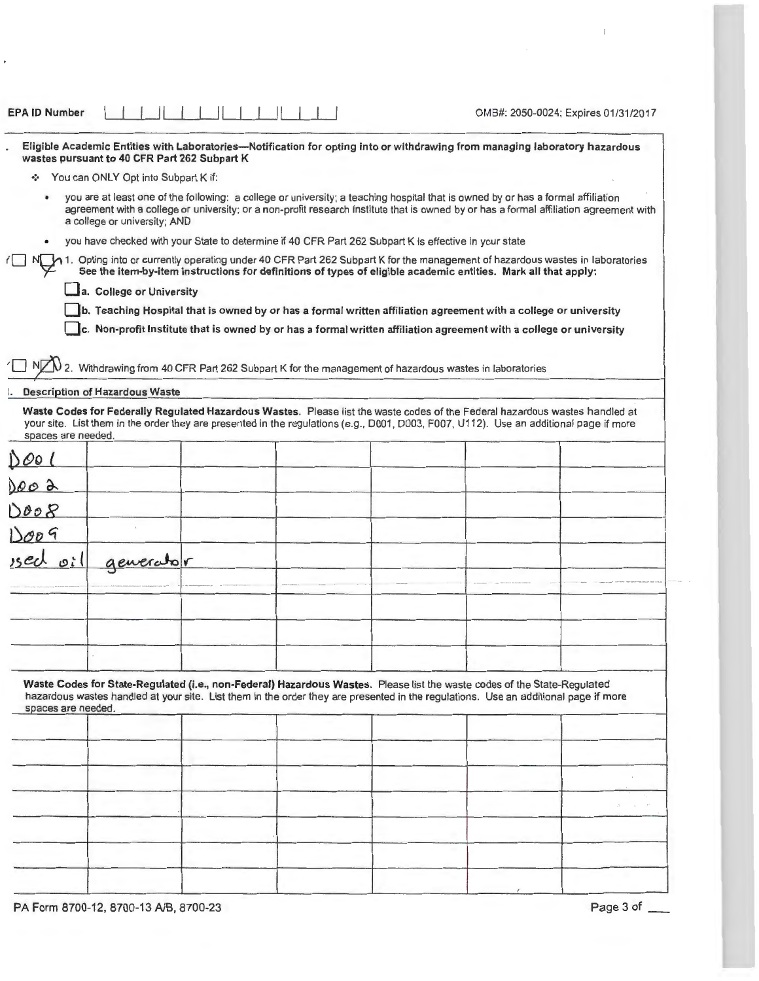| <b>EPA ID Number</b> |                                              |  | OMB#: 2050-0024; Expires 01/31/2017                                                                                                                                                                                                                                        |
|----------------------|----------------------------------------------|--|----------------------------------------------------------------------------------------------------------------------------------------------------------------------------------------------------------------------------------------------------------------------------|
|                      | wastes pursuant to 40 CFR Part 262 Subpart K |  | Eligible Academic Entities with Laboratories-Notification for opting into or withdrawing from managing laboratory hazardous                                                                                                                                                |
|                      | You can ONLY Opt into Subpart K if:          |  |                                                                                                                                                                                                                                                                            |
|                      | a college or university; AND                 |  | you are at least one of the following: a college or university; a teaching hospital that is owned by or has a formal affiliation<br>agreement with a college or university; or a non-profit research institute that is owned by or has a formal affiliation agreement with |
| ٠                    |                                              |  | you have checked with your State to determine if 40 CFR Part 262 Subpart K is effective in your state                                                                                                                                                                      |
|                      |                                              |  | 1. Opting into or currently operating under 40 CFR Part 262 Subpart K for the management of hazardous wastes in laboratories<br>See the item-by-item instructions for definitions of types of eligible academic entities. Mark all that apply:                             |
|                      | a. College or University                     |  |                                                                                                                                                                                                                                                                            |
|                      |                                              |  | b. Teaching Hospital that is owned by or has a formal written affiliation agreement with a college or university                                                                                                                                                           |
|                      |                                              |  | c. Non-profit Institute that is owned by or has a formal written affiliation agreement with a college or university                                                                                                                                                        |
|                      |                                              |  |                                                                                                                                                                                                                                                                            |
|                      |                                              |  | NO 2. Withdrawing from 40 CFR Part 262 Subpart K for the management of hazardous wastes in laboratories                                                                                                                                                                    |
|                      | <b>Description of Hazardous Waste</b>        |  |                                                                                                                                                                                                                                                                            |
| spaces are needed.   |                                              |  | Waste Codes for Federally Regulated Hazardous Wastes. Please list the waste codes of the Federal hazardous wastes handled at<br>your site. List them in the order they are presented in the regulations (e.g., D001, D003, F007, U112). Use an additional page if more     |
| DO0(                 |                                              |  |                                                                                                                                                                                                                                                                            |
| 0002                 |                                              |  |                                                                                                                                                                                                                                                                            |
| D008                 |                                              |  |                                                                                                                                                                                                                                                                            |
| 15009                |                                              |  |                                                                                                                                                                                                                                                                            |
| $sec\omega$          | generator                                    |  |                                                                                                                                                                                                                                                                            |
|                      |                                              |  |                                                                                                                                                                                                                                                                            |
|                      |                                              |  |                                                                                                                                                                                                                                                                            |
|                      |                                              |  |                                                                                                                                                                                                                                                                            |
|                      |                                              |  |                                                                                                                                                                                                                                                                            |
|                      |                                              |  |                                                                                                                                                                                                                                                                            |
| spaces are needed.   |                                              |  | Waste Codes for State-Regulated (i.e., non-Federal) Hazardous Wastes. Please list the waste codes of the State-Regulated<br>hazardous wastes handled at your site. List them in the order they are presented in the regulations. Use an additional page if more            |
|                      |                                              |  |                                                                                                                                                                                                                                                                            |
|                      |                                              |  |                                                                                                                                                                                                                                                                            |
|                      |                                              |  |                                                                                                                                                                                                                                                                            |
|                      |                                              |  |                                                                                                                                                                                                                                                                            |
|                      |                                              |  |                                                                                                                                                                                                                                                                            |
|                      |                                              |  |                                                                                                                                                                                                                                                                            |
|                      |                                              |  |                                                                                                                                                                                                                                                                            |
|                      |                                              |  |                                                                                                                                                                                                                                                                            |
|                      |                                              |  |                                                                                                                                                                                                                                                                            |

PA Form 8700-12, 8700-13 A/B, 8700-23 Page 3 of \_\_\_\_\_\_\_\_\_\_\_\_\_\_\_\_\_\_\_\_\_\_\_\_\_\_\_\_\_\_\_\_\_

k,

 $\overline{1}$